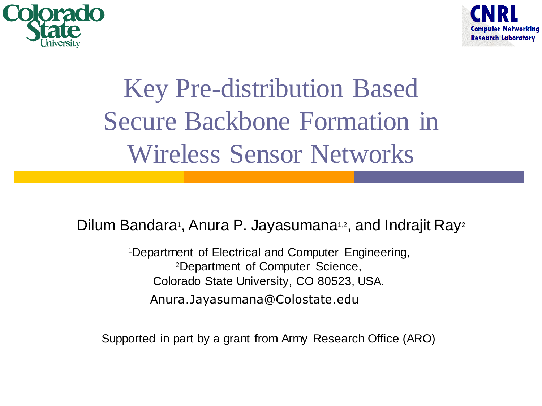



#### Key Pre-distribution Based Secure Backbone Formation in Wireless Sensor Networks

Dilum Bandara<sup>1</sup>, Anura P. Jayasumana<sup>1,2</sup>, and Indrajit Ray<sup>2</sup>

<sup>1</sup>Department of Electrical and Computer Engineering, <sup>2</sup>Department of Computer Science, Colorado State University, CO 80523, USA. Anura.Jayasumana@Colostate.edu

Supported in part by a grant from Army Research Office (ARO)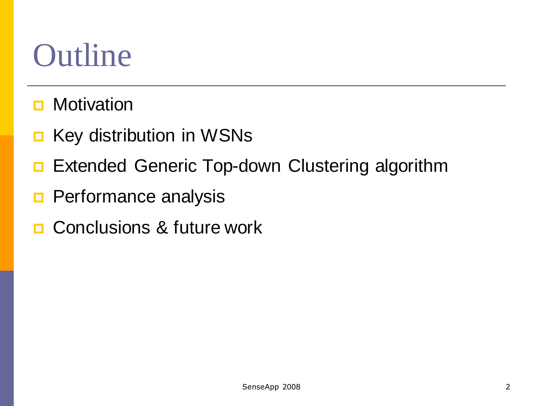# Outline

- **D** Motivation
- **E** Key distribution in WSNs
- Extended Generic Top-down Clustering algorithm
- **Performance analysis**
- **□ Conclusions & future work**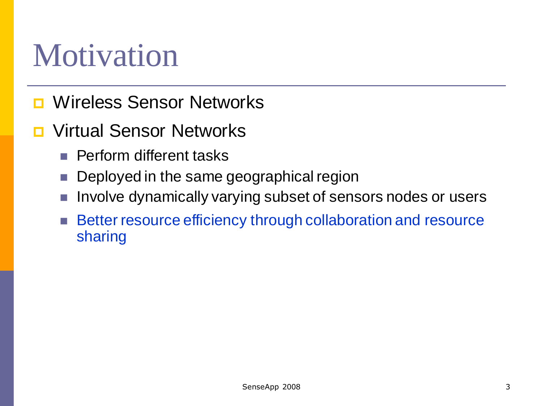#### Motivation

- **D** Wireless Sensor Networks
- Virtual Sensor Networks
	- **Perform different tasks**
	- **Deployed in the same geographical region**
	- Involve dynamically varying subset of sensors nodes or users
	- **Better resource efficiency through collaboration and resource** sharing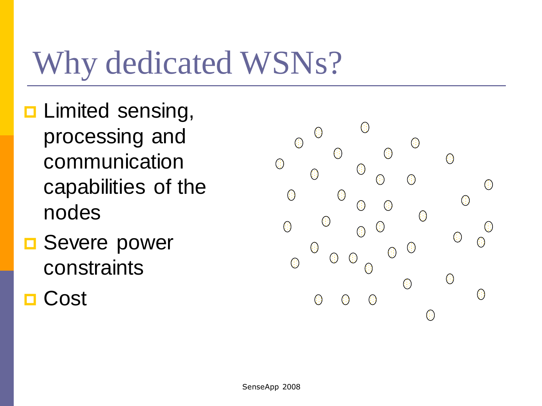# Why dedicated WSNs?

- **<u>n</u>** Limited sensing, processing and communication capabilities of the nodes
- **□** Severe power constraints
- Cost

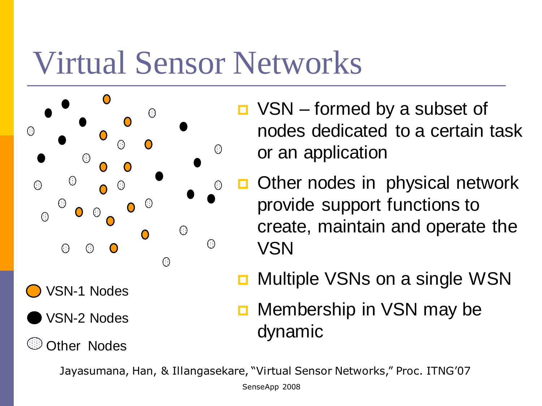#### Virtual Sensor Networks



- $\Box$  VSN formed by a subset of nodes dedicated to a certain task or an application
- **D** Other nodes in physical network provide support functions to create, maintain and operate the VSN
- **D** Multiple VSNs on a single WSN
- **D** Membership in VSN may be dynamic

Jayasumana, Han, & Illangasekare, "Virtual Sensor Networks," Proc. ITNG'07

SenseApp 2008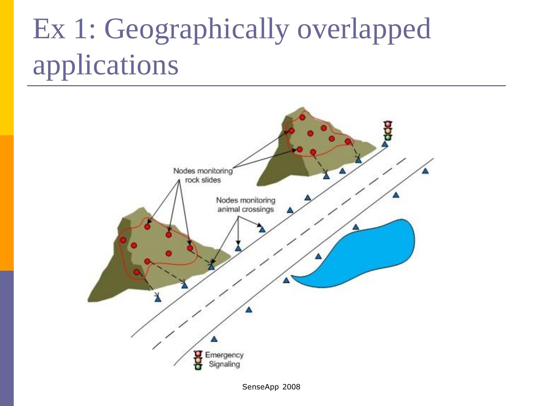## Ex 1: Geographically overlapped applications

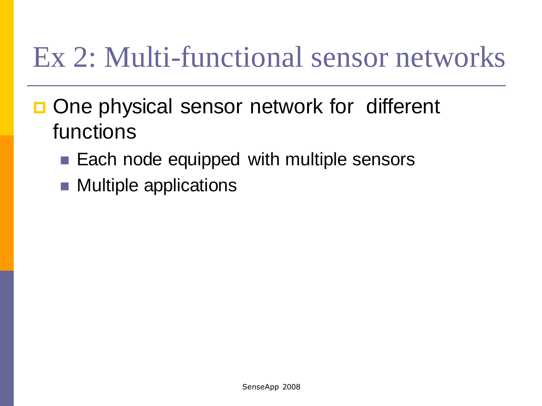#### Ex 2: Multi-functional sensor networks

- □ One physical sensor network for different functions
	- Each node equipped with multiple sensors
	- Multiple applications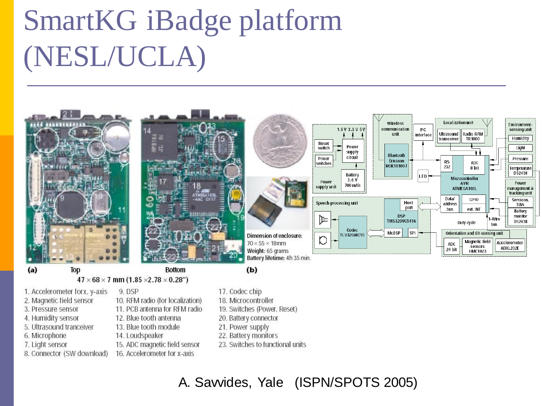## SmartKG iBadge platform (NESL/UCLA)



 $47 \times 68 \times 7$  mm (1.85  $\times$ 2.78  $\times$  0.28") 9. DSP

10. RFM radio (for localization)

11. PCB antenna for RFM radio

15. ADC magnetic field sensor

16. Accelerometer for x-axis

12. Blue tooth antenna

13. Blue tooth module

14. Loudspeaker

- 1. Accelerometer forx, y-axis
- 2. Magnetic field sensor
- 3. Pressure sensor
- 4. Humidity sensor
- 5. Ultrasound tranceiver
- 6. Microphone
- 7. Light sensor
- 8. Connector (SW download)
- 17. Codec chip
- 18. Microcontroller
- 19. Switches (Power, Reset)
- 20. Battery connector
- 21. Power supply
- 22. Battery monitors
- 23. Switches to functional units

A. Savvides, Yale (ISPN/SPOTS 2005)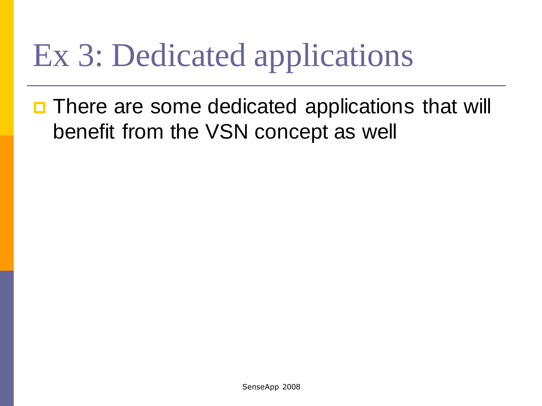# Ex 3: Dedicated applications

□ There are some dedicated applications that will benefit from the VSN concept as well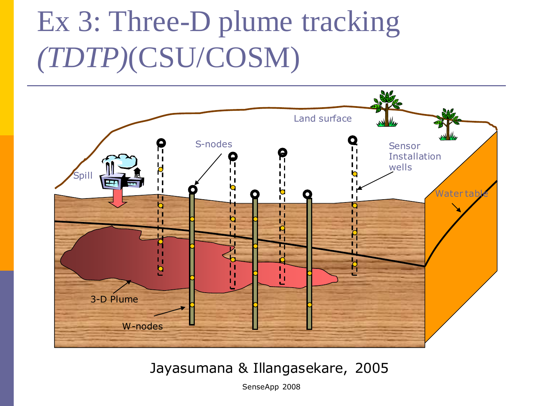#### Ex 3: Three-D plume tracking *(TDTP)*(CSU/COSM)



#### Jayasumana & Illangasekare, 2005

SenseApp 2008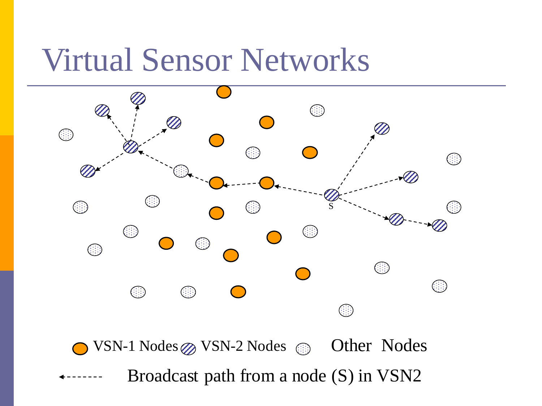#### Virtual Sensor Networks

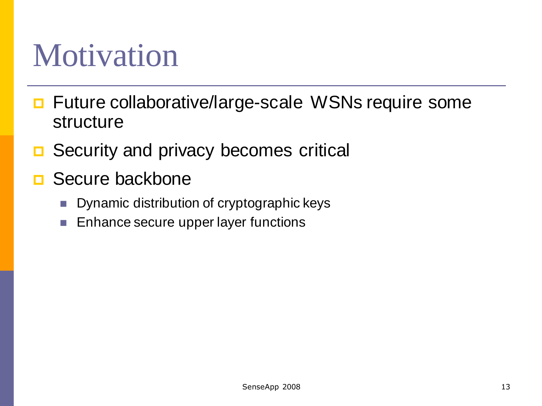#### Motivation

- Future collaborative/large-scale WSNs require some structure
- **□** Security and privacy becomes critical
- Secure backbone
	- **Dynamic distribution of cryptographic keys**
	- **Enhance secure upper layer functions**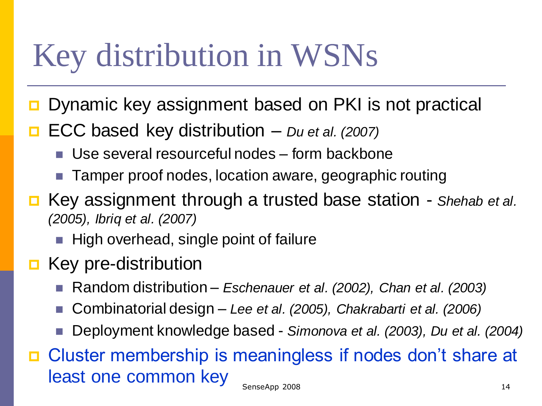## Key distribution in WSNs

- Dynamic key assignment based on PKI is not practical
- ECC based key distribution *Du et al. (2007)*
	- Use several resourceful nodes form backbone
	- Tamper proof nodes, location aware, geographic routing
- Key assignment through a trusted base station *Shehab et al. (2005), Ibriq et al. (2007)*
	- High overhead, single point of failure
- **E** Key pre-distribution
	- Random distribution *Eschenauer et al. (2002), Chan et al. (2003)*
	- Combinatorial design *Lee et al. (2005), Chakrabarti et al. (2006)*
	- Deployment knowledge based *Simonova et al. (2003), Du et al. (2004)*
- Cluster membership is meaningless if nodes don't share at least one common key SenseApp 2008 14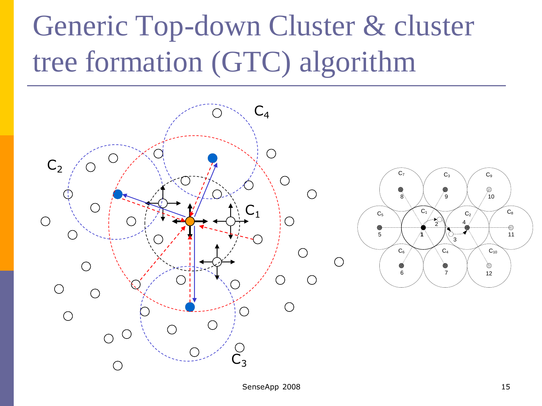#### Generic Top-down Cluster & cluster tree formation (GTC) algorithm

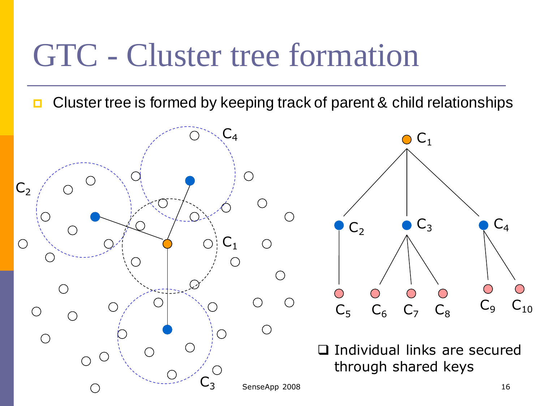#### GTC - Cluster tree formation

**Cluster tree is formed by keeping track of parent & child relationships** 





□ Individual links are secured through shared keys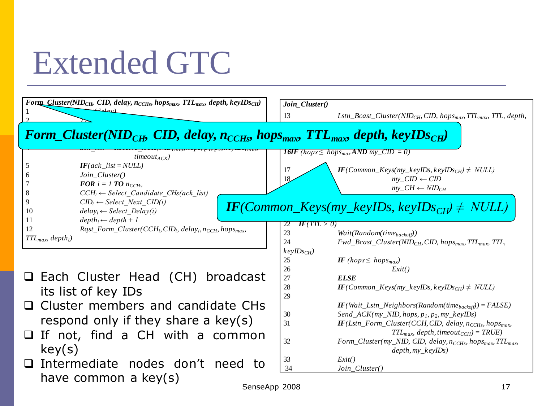#### Extended GTC

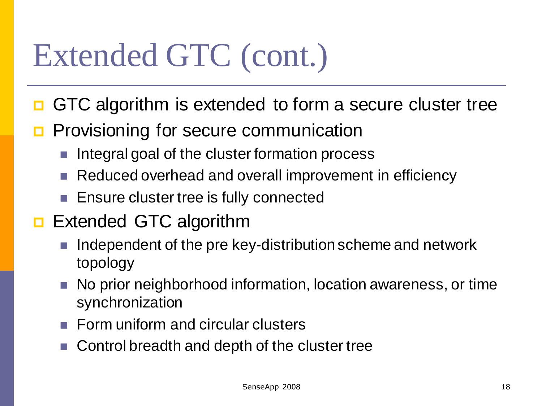# Extended GTC (cont.)

- GTC algorithm is extended to form a secure cluster tree
- **Provisioning for secure communication** 
	- Integral goal of the cluster formation process
	- Reduced overhead and overall improvement in efficiency
	- Ensure cluster tree is fully connected
- Extended GTC algorithm
	- Independent of the pre key-distribution scheme and network topology
	- No prior neighborhood information, location awareness, or time synchronization
	- Form uniform and circular clusters
	- Control breadth and depth of the cluster tree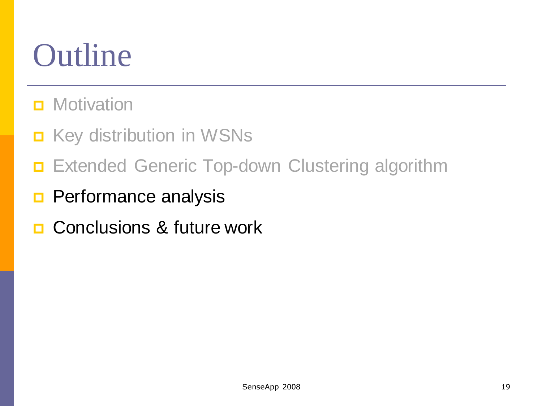# Outline

- **D** Motivation
- **E** Key distribution in WSNs
- Extended Generic Top-down Clustering algorithm
- **Performance analysis**
- **□ Conclusions & future work**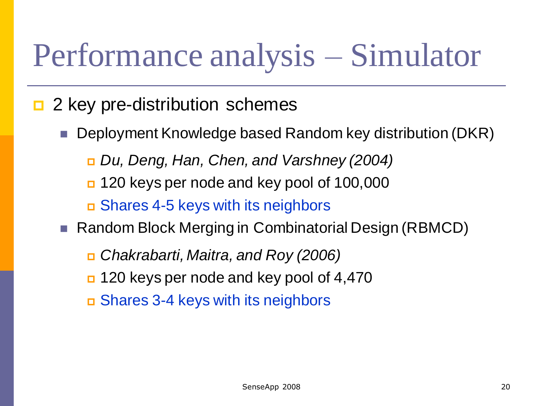## Performance analysis – Simulator

- $\Box$  2 key pre-distribution schemes
	- Deployment Knowledge based Random key distribution (DKR)
		- *Du, Deng, Han, Chen, and Varshney (2004)*
		- 120 keys per node and key pool of 100,000
		- Shares 4-5 keys with its neighbors
	- Random Block Merging in Combinatorial Design (RBMCD)
		- *Chakrabarti, Maitra, and Roy (2006)*
		- 120 keys per node and key pool of 4,470
		- Shares 3-4 keys with its neighbors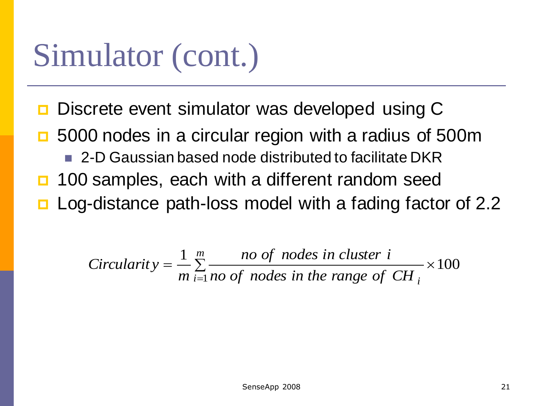#### Simulator (cont.)

- **□** Discrete event simulator was developed using C
- **□** 5000 nodes in a circular region with a radius of 500m 2-D Gaussian based node distributed to facilitate DKR **100 samples, each with a different random seed □** Log-distance path-loss model with a fading factor of 2.2

$$
Circularity = \frac{1}{m} \sum_{i=1}^{m} \frac{no \ of \ nodes \ in \ cluster \ i}{mo \ of \ nodes \ in \ the \ range \ of \ CH} \times 100
$$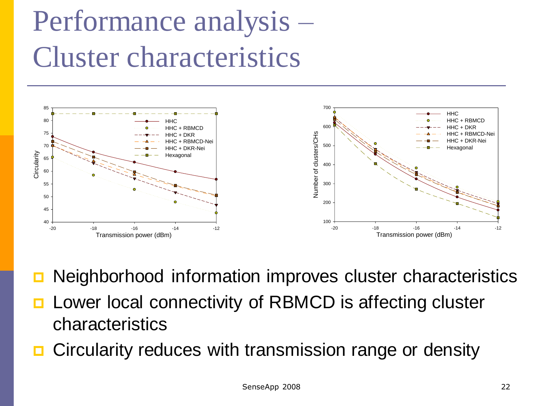#### Performance analysis – Cluster characteristics



- Neighborhood information improves cluster characteristics
- **D** Lower local connectivity of RBMCD is affecting cluster characteristics
- Circularity reduces with transmission range or density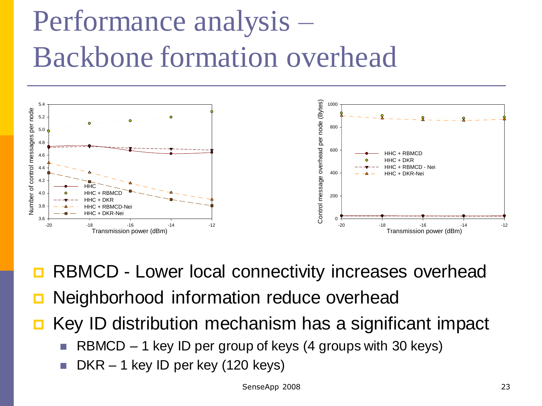#### Performance analysis – Backbone formation overhead



RBMCD - Lower local connectivity increases overhead

- Neighborhood information reduce overhead
- $\blacksquare$  Key ID distribution mechanism has a significant impact
	- RBMCD 1 key ID per group of keys (4 groups with 30 keys)
	- DKR 1 key ID per key (120 keys)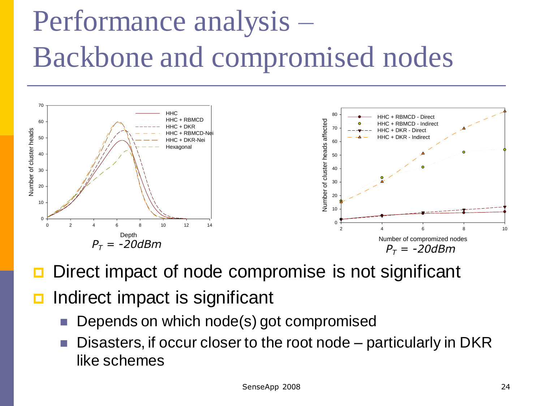## Performance analysis – Backbone and compromised nodes



- Direct impact of node compromise is not significant
- Indirect impact is significant
	- Depends on which node(s) got compromised
	- Disasters, if occur closer to the root node particularly in DKR like schemes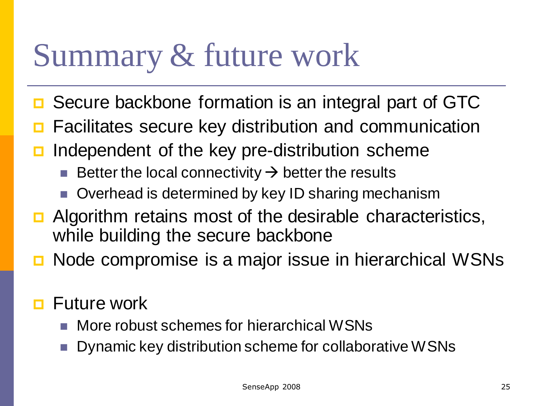### Summary & future work

- Secure backbone formation is an integral part of GTC
- Facilitates secure key distribution and communication
- Independent of the key pre-distribution scheme
	- Better the local connectivity  $\rightarrow$  better the results
	- Overhead is determined by key ID sharing mechanism
- $\Box$  Algorithm retains most of the desirable characteristics, while building the secure backbone
- Node compromise is a major issue in hierarchical WSNs
- **<u>E</u>** Future work
	- More robust schemes for hierarchical WSNs
	- Dynamic key distribution scheme for collaborative WSNs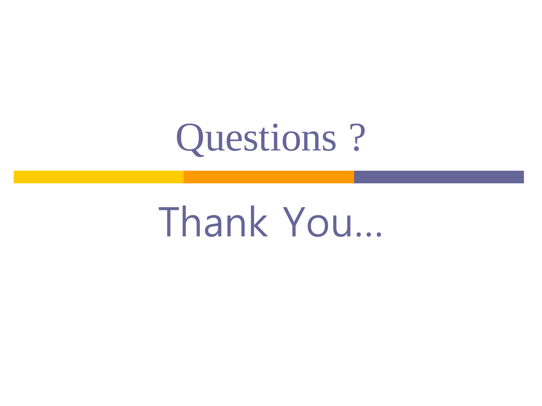

# Thank You…